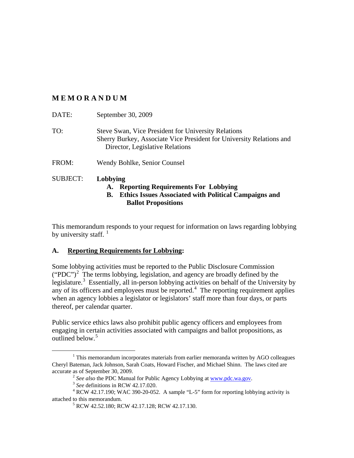# **MEMORANDUM**

| DATE:           | September 30, 2009                                                                                                                                             |
|-----------------|----------------------------------------------------------------------------------------------------------------------------------------------------------------|
| TO:             | Steve Swan, Vice President for University Relations<br>Sherry Burkey, Associate Vice President for University Relations and<br>Director, Legislative Relations |
| FROM:           | Wendy Bohlke, Senior Counsel                                                                                                                                   |
| <b>SUBJECT:</b> | Lobbying                                                                                                                                                       |

#### **A. Reporting Requirements For Lobbying B. Ethics Issues Associated with Political Campaigns and Ballot Propositions**

This memorandum responds to your request for information on laws regarding lobbying by university staff.  $1$ 

# **A. Reporting Requirements for Lobbying:**

Some lobbying activities must be reported to the Public Disclosure Commission ("PDC")<sup>[2](#page-0-1)</sup> The terms lobbying, legislation, and agency are broadly defined by the legislature.<sup>[3](#page-0-2)</sup> Essentially, all in-person lobbying activities on behalf of the University by any of its officers and employees must be reported. $4$  The reporting requirement applies when an agency lobbies a legislator or legislators' staff more than four days, or parts thereof, per calendar quarter.

Public service ethics laws also prohibit public agency officers and employees from engaging in certain activities associated with campaigns and ballot propositions, as outlined below. [5](#page-0-4)

<span id="page-0-0"></span><sup>&</sup>lt;sup>1</sup> This memorandum incorporates materials from earlier memoranda written by AGO colleagues Cheryl Bateman, Jack Johnson, Sarah Coats, Howard Fischer, and Michael Shinn. The laws cited are accurate as of September 30, 2009.

<sup>2</sup> *See also* the PDC Manual for Public Agency Lobbying at [www.pdc.wa.gov.](http://www.pdc.wa.gov/)

<sup>3</sup> *See* definitions in RCW 42.17.020.

<span id="page-0-4"></span><span id="page-0-3"></span><span id="page-0-2"></span><span id="page-0-1"></span><sup>4</sup> RCW 42.17.190; WAC 390-20-052. A sample "L-5" form for reporting lobbying activity is attached to this memorandum.

<sup>5</sup> RCW 42.52.180; RCW 42.17.128; RCW 42.17.130.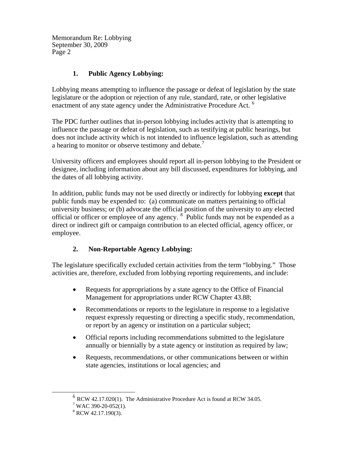Memorandum Re: Lobbying September 30, 2009 Page 2

# **1. Public Agency Lobbying:**

Lobbying means attempting to influence the passage or defeat of legislation by the state legislature or the adoption or rejection of any rule, standard, rate, or other legislative enactment of any state agency under the Administrative Procedure Act.<sup>[6](#page-1-0)</sup>

The PDC further outlines that in-person lobbying includes activity that is attempting to influence the passage or defeat of legislation, such as testifying at public hearings, but does not include activity which is not intended to influence legislation, such as attending a hearing to monitor or observe testimony and debate.<sup>[7](#page-1-1)</sup>

University officers and employees should report all in-person lobbying to the President or designee, including information about any bill discussed, expenditures for lobbying, and the dates of all lobbying activity.

In addition, public funds may not be used directly or indirectly for lobbying **except** that public funds may be expended to: (a) communicate on matters pertaining to official university business; or (b) advocate the official position of the university to any elected official or officer or employee of any agency. <sup>[8](#page-1-2)</sup> Public funds may not be expended as a direct or indirect gift or campaign contribution to an elected official, agency officer, or employee.

# **2. Non-Reportable Agency Lobbying:**

The legislature specifically excluded certain activities from the term "lobbying." Those activities are, therefore, excluded from lobbying reporting requirements, and include:

- Requests for appropriations by a state agency to the Office of Financial Management for appropriations under RCW Chapter 43.88;
- Recommendations or reports to the legislature in response to a legislative request expressly requesting or directing a specific study, recommendation, or report by an agency or institution on a particular subject;
- Official reports including recommendations submitted to the legislature annually or biennially by a state agency or institution as required by law;
- Requests, recommendations, or other communications between or within state agencies, institutions or local agencies; and

<span id="page-1-1"></span><span id="page-1-0"></span> $6$  RCW 42.17.020(1). The Administrative Procedure Act is found at RCW 34.05.

 $7$  WAC 390-20-052(1).

<span id="page-1-2"></span> $8$  RCW 42.17.190(3).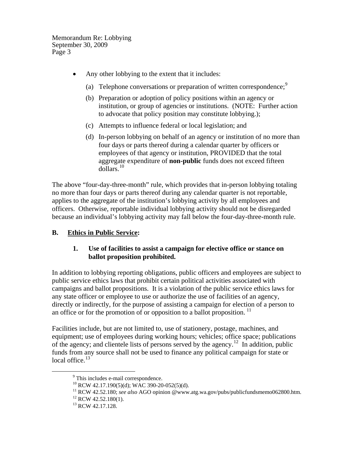Memorandum Re: Lobbying September 30, 2009 Page 3

- Any other lobbying to the extent that it includes:
	- (a) Telephone conversations or preparation of written correspondence;  $\frac{9}{2}$  $\frac{9}{2}$  $\frac{9}{2}$
	- (b) Preparation or adoption of policy positions within an agency or institution, or group of agencies or institutions. (NOTE: Further action to advocate that policy position may constitute lobbying.);
	- (c) Attempts to influence federal or local legislation; and
	- (d) In-person lobbying on behalf of an agency or institution of no more than four days or parts thereof during a calendar quarter by officers or employees of that agency or institution, PROVIDED that the total aggregate expenditure of **non-public** funds does not exceed fifteen dollars. [10](#page-2-1)

The above "four-day-three-month" rule, which provides that in-person lobbying totaling no more than four days or parts thereof during any calendar quarter is not reportable, applies to the aggregate of the institution's lobbying activity by all employees and officers. Otherwise, reportable individual lobbying activity should not be disregarded because an individual's lobbying activity may fall below the four-day-three-month rule.

### **B. Ethics in Public Service:**

#### **1. Use of facilities to assist a campaign for elective office or stance on ballot proposition prohibited.**

In addition to lobbying reporting obligations, public officers and employees are subject to public service ethics laws that prohibit certain political activities associated with campaigns and ballot propositions. It is a violation of the public service ethics laws for any state officer or employee to use or authorize the use of facilities of an agency, directly or indirectly, for the purpose of assisting a campaign for election of a person to an office or for the promotion of or opposition to a ballot proposition.<sup>[11](#page-2-2)</sup>

<span id="page-2-0"></span>Facilities include, but are not limited to, use of stationery, postage, machines, and equipment; use of employees during working hours; vehicles; office space; publications of the agency; and clientele lists of persons served by the agency. [12](#page-2-3) In addition, public funds from any source shall not be used to finance any political campaign for state or local office.<sup>[13](#page-2-4)</sup>

<span id="page-2-1"></span><sup>&</sup>lt;sup>9</sup> This includes e-mail correspondence.

 $^{10}$  RCW 42.17.190(5)(d); WAC 390-20-052(5)(d).

<span id="page-2-2"></span><sup>11</sup> RCW 42.52.180; *see also* AGO opinion @www.atg.wa.gov/pubs/publicfundsmemo062800.htm.

<span id="page-2-3"></span> $12$  RCW 42.52.180(1).

<span id="page-2-4"></span><sup>&</sup>lt;sup>13</sup> RCW 42.17.128.